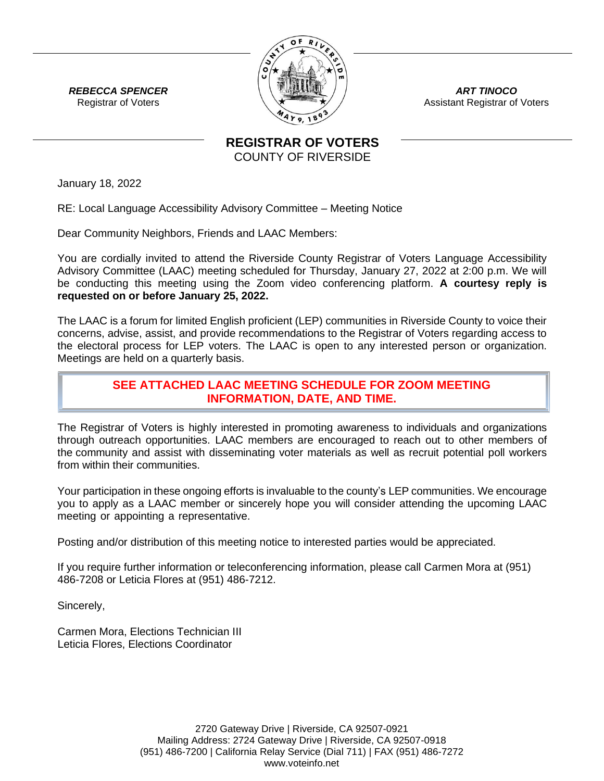

*ART TINOCO* Assistant Registrar of Voters

*REBECCA SPENCER* Registrar of Voters

> **REGISTRAR OF VOTERS** COUNTY OF RIVERSIDE

January 18, 2022

RE: Local Language Accessibility Advisory Committee – Meeting Notice

Dear Community Neighbors, Friends and LAAC Members:

You are cordially invited to attend the Riverside County Registrar of Voters Language Accessibility Advisory Committee (LAAC) meeting scheduled for Thursday, January 27, 2022 at 2:00 p.m. We will be conducting this meeting using the Zoom video conferencing platform. **A courtesy reply is requested on or before January 25, 2022.**

The LAAC is a forum for limited English proficient (LEP) communities in Riverside County to voice their concerns, advise, assist, and provide recommendations to the Registrar of Voters regarding access to the electoral process for LEP voters. The LAAC is open to any interested person or organization. Meetings are held on a quarterly basis.

## **SEE ATTACHED LAAC MEETING SCHEDULE FOR ZOOM MEETING INFORMATION, DATE, AND TIME.**

The Registrar of Voters is highly interested in promoting awareness to individuals and organizations through outreach opportunities. LAAC members are encouraged to reach out to other members of the community and assist with disseminating voter materials as well as recruit potential poll workers from within their communities.

Your participation in these ongoing efforts is invaluable to the county's LEP communities. We encourage you to apply as a LAAC member or sincerely hope you will consider attending the upcoming LAAC meeting or appointing a representative.

Posting and/or distribution of this meeting notice to interested parties would be appreciated.

If you require further information or teleconferencing information, please call Carmen Mora at (951) 486-7208 or Leticia Flores at (951) 486-7212.

Sincerely,

Carmen Mora, Elections Technician III Leticia Flores, Elections Coordinator